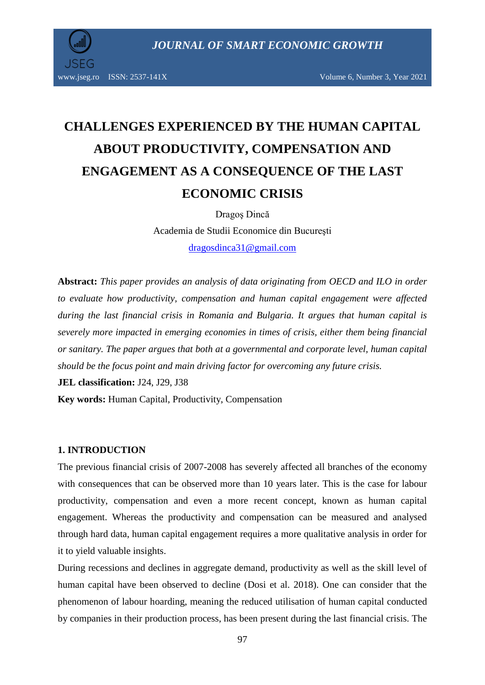

# **CHALLENGES EXPERIENCED BY THE HUMAN CAPITAL ABOUT PRODUCTIVITY, COMPENSATION AND ENGAGEMENT AS A CONSEQUENCE OF THE LAST ECONOMIC CRISIS**

Dragoş Dincă Academia de Studii Economice din Bucureşti [dragosdinca31@gmail.com](mailto:dragosdinca31@gmail.com)

**Abstract:** *This paper provides an analysis of data originating from OECD and ILO in order to evaluate how productivity, compensation and human capital engagement were affected during the last financial crisis in Romania and Bulgaria. It argues that human capital is severely more impacted in emerging economies in times of crisis, either them being financial or sanitary. The paper argues that both at a governmental and corporate level, human capital should be the focus point and main driving factor for overcoming any future crisis.* 

**JEL classification:** J24, J29, J38

**Key words:** Human Capital, Productivity, Compensation

#### **1. INTRODUCTION**

The previous financial crisis of 2007-2008 has severely affected all branches of the economy with consequences that can be observed more than 10 years later. This is the case for labour productivity, compensation and even a more recent concept, known as human capital engagement. Whereas the productivity and compensation can be measured and analysed through hard data, human capital engagement requires a more qualitative analysis in order for it to yield valuable insights.

During recessions and declines in aggregate demand, productivity as well as the skill level of human capital have been observed to decline (Dosi et al. 2018). One can consider that the phenomenon of labour hoarding, meaning the reduced utilisation of human capital conducted by companies in their production process, has been present during the last financial crisis. The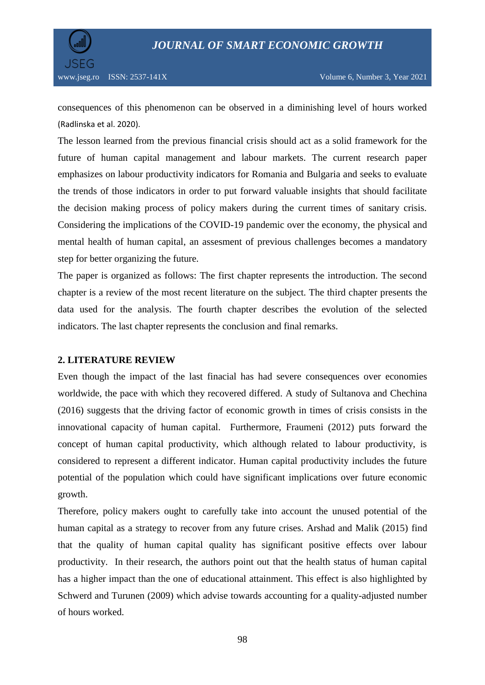

consequences of this phenomenon can be observed in a diminishing level of hours worked (Radlinska et al. 2020).

The lesson learned from the previous financial crisis should act as a solid framework for the future of human capital management and labour markets. The current research paper emphasizes on labour productivity indicators for Romania and Bulgaria and seeks to evaluate the trends of those indicators in order to put forward valuable insights that should facilitate the decision making process of policy makers during the current times of sanitary crisis. Considering the implications of the COVID-19 pandemic over the economy, the physical and mental health of human capital, an assesment of previous challenges becomes a mandatory step for better organizing the future.

The paper is organized as follows: The first chapter represents the introduction. The second chapter is a review of the most recent literature on the subject. The third chapter presents the data used for the analysis. The fourth chapter describes the evolution of the selected indicators. The last chapter represents the conclusion and final remarks.

## **2. LITERATURE REVIEW**

Even though the impact of the last finacial has had severe consequences over economies worldwide, the pace with which they recovered differed. A study of Sultanova and Chechina (2016) suggests that the driving factor of economic growth in times of crisis consists in the innovational capacity of human capital. Furthermore, Fraumeni (2012) puts forward the concept of human capital productivity, which although related to labour productivity, is considered to represent a different indicator. Human capital productivity includes the future potential of the population which could have significant implications over future economic growth.

Therefore, policy makers ought to carefully take into account the unused potential of the human capital as a strategy to recover from any future crises. Arshad and Malik (2015) find that the quality of human capital quality has significant positive effects over labour productivity. In their research, the authors point out that the health status of human capital has a higher impact than the one of educational attainment. This effect is also highlighted by Schwerd and Turunen (2009) which advise towards accounting for a quality-adjusted number of hours worked.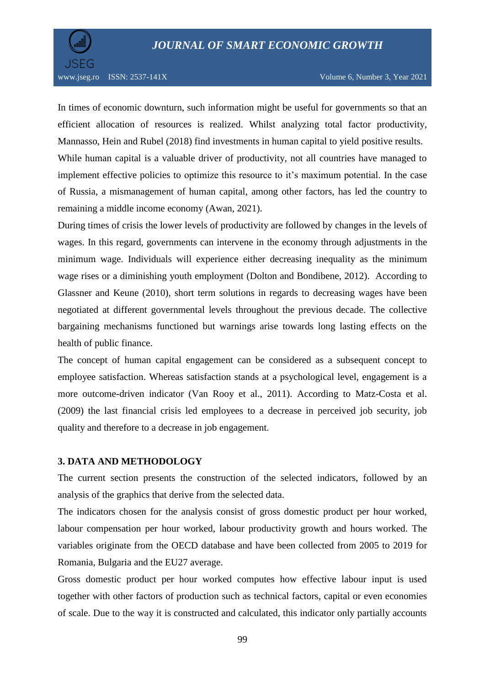

In times of economic downturn, such information might be useful for governments so that an efficient allocation of resources is realized. Whilst analyzing total factor productivity, Mannasso, Hein and Rubel (2018) find investments in human capital to yield positive results.

While human capital is a valuable driver of productivity, not all countries have managed to implement effective policies to optimize this resource to it's maximum potential. In the case of Russia, a mismanagement of human capital, among other factors, has led the country to remaining a middle income economy (Awan, 2021).

During times of crisis the lower levels of productivity are followed by changes in the levels of wages. In this regard, governments can intervene in the economy through adjustments in the minimum wage. Individuals will experience either decreasing inequality as the minimum wage rises or a diminishing youth employment (Dolton and Bondibene, 2012). According to Glassner and Keune (2010), short term solutions in regards to decreasing wages have been negotiated at different governmental levels throughout the previous decade. The collective bargaining mechanisms functioned but warnings arise towards long lasting effects on the health of public finance.

The concept of human capital engagement can be considered as a subsequent concept to employee satisfaction. Whereas satisfaction stands at a psychological level, engagement is a more outcome-driven indicator (Van Rooy et al., 2011). According to Matz-Costa et al. (2009) the last financial crisis led employees to a decrease in perceived job security, job quality and therefore to a decrease in job engagement.

#### **3. DATA AND METHODOLOGY**

The current section presents the construction of the selected indicators, followed by an analysis of the graphics that derive from the selected data.

The indicators chosen for the analysis consist of gross domestic product per hour worked, labour compensation per hour worked, labour productivity growth and hours worked. The variables originate from the OECD database and have been collected from 2005 to 2019 for Romania, Bulgaria and the EU27 average.

Gross domestic product per hour worked computes how effective labour input is used together with other factors of production such as technical factors, capital or even economies of scale. Due to the way it is constructed and calculated, this indicator only partially accounts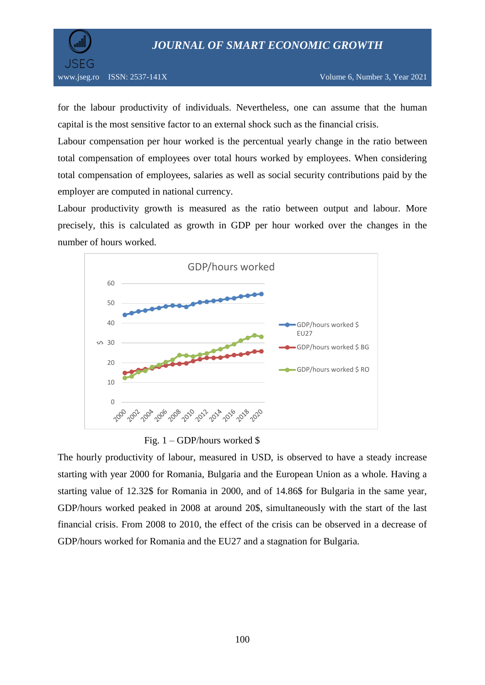

for the labour productivity of individuals. Nevertheless, one can assume that the human capital is the most sensitive factor to an external shock such as the financial crisis.

Labour compensation per hour worked is the percentual yearly change in the ratio between total compensation of employees over total hours worked by employees. When considering total compensation of employees, salaries as well as social security contributions paid by the employer are computed in national currency.

Labour productivity growth is measured as the ratio between output and labour. More precisely, this is calculated as growth in GDP per hour worked over the changes in the number of hours worked.



Fig. 1 – GDP/hours worked \$

The hourly productivity of labour, measured in USD, is observed to have a steady increase starting with year 2000 for Romania, Bulgaria and the European Union as a whole. Having a starting value of 12.32\$ for Romania in 2000, and of 14.86\$ for Bulgaria in the same year, GDP/hours worked peaked in 2008 at around 20\$, simultaneously with the start of the last financial crisis. From 2008 to 2010, the effect of the crisis can be observed in a decrease of GDP/hours worked for Romania and the EU27 and a stagnation for Bulgaria.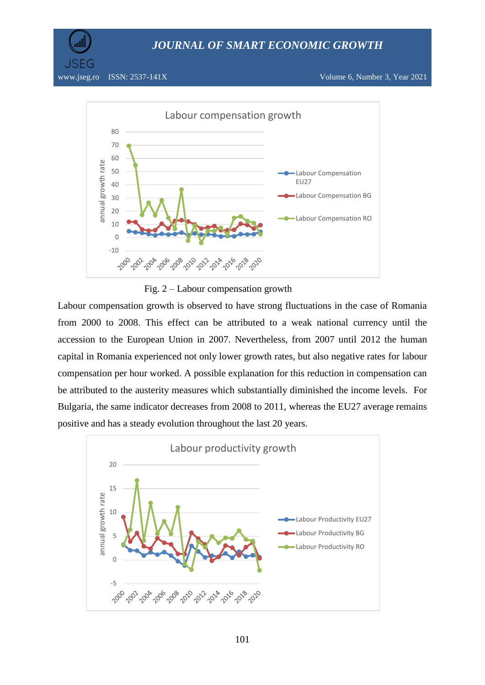

www.jseg.ro ISSN: 2537-141X Volume 6, Number 3, Year 2021



Fig. 2 – Labour compensation growth

Labour compensation growth is observed to have strong fluctuations in the case of Romania from 2000 to 2008. This effect can be attributed to a weak national currency until the accession to the European Union in 2007. Nevertheless, from 2007 until 2012 the human capital in Romania experienced not only lower growth rates, but also negative rates for labour compensation per hour worked. A possible explanation for this reduction in compensation can be attributed to the austerity measures which substantially diminished the income levels. For Bulgaria, the same indicator decreases from 2008 to 2011, whereas the EU27 average remains positive and has a steady evolution throughout the last 20 years.

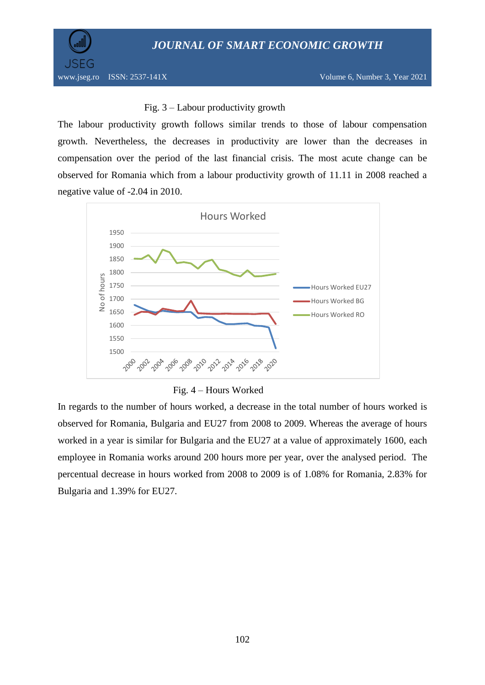*JOURNAL OF SMART ECONOMIC GROWTH*



## Fig. 3 – Labour productivity growth

The labour productivity growth follows similar trends to those of labour compensation growth. Nevertheless, the decreases in productivity are lower than the decreases in compensation over the period of the last financial crisis. The most acute change can be observed for Romania which from a labour productivity growth of 11.11 in 2008 reached a negative value of -2.04 in 2010.



Fig. 4 – Hours Worked

In regards to the number of hours worked, a decrease in the total number of hours worked is observed for Romania, Bulgaria and EU27 from 2008 to 2009. Whereas the average of hours worked in a year is similar for Bulgaria and the EU27 at a value of approximately 1600, each employee in Romania works around 200 hours more per year, over the analysed period. The percentual decrease in hours worked from 2008 to 2009 is of 1.08% for Romania, 2.83% for Bulgaria and 1.39% for EU27.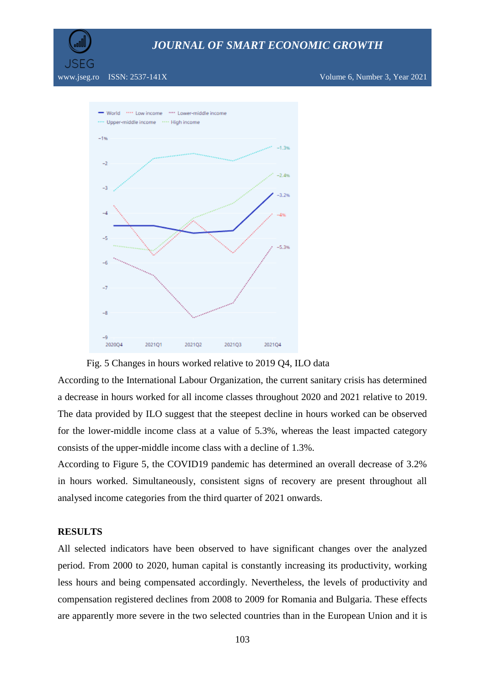

## *JOURNAL OF SMART ECONOMIC GROWTH*

www.jseg.ro ISSN: 2537-141X Volume 6, Number 3, Year 2021





According to the International Labour Organization, the current sanitary crisis has determined a decrease in hours worked for all income classes throughout 2020 and 2021 relative to 2019. The data provided by ILO suggest that the steepest decline in hours worked can be observed for the lower-middle income class at a value of 5.3%, whereas the least impacted category consists of the upper-middle income class with a decline of 1.3%.

According to Figure 5, the COVID19 pandemic has determined an overall decrease of 3.2% in hours worked. Simultaneously, consistent signs of recovery are present throughout all analysed income categories from the third quarter of 2021 onwards.

#### **RESULTS**

All selected indicators have been observed to have significant changes over the analyzed period. From 2000 to 2020, human capital is constantly increasing its productivity, working less hours and being compensated accordingly. Nevertheless, the levels of productivity and compensation registered declines from 2008 to 2009 for Romania and Bulgaria. These effects are apparently more severe in the two selected countries than in the European Union and it is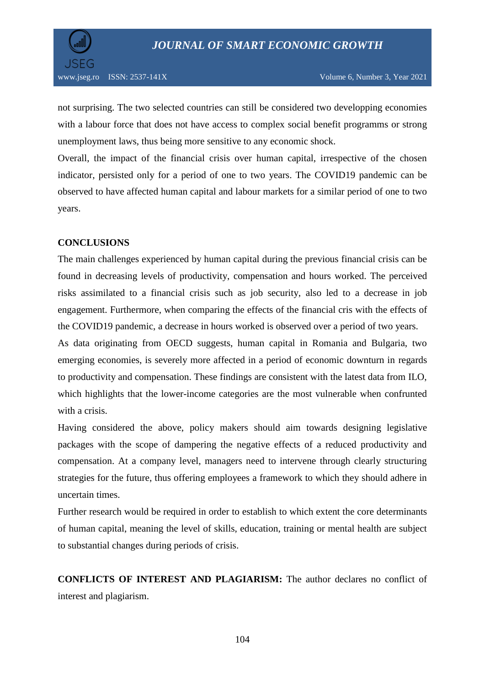

not surprising. The two selected countries can still be considered two developping economies with a labour force that does not have access to complex social benefit programms or strong unemployment laws, thus being more sensitive to any economic shock.

Overall, the impact of the financial crisis over human capital, irrespective of the chosen indicator, persisted only for a period of one to two years. The COVID19 pandemic can be observed to have affected human capital and labour markets for a similar period of one to two years.

## **CONCLUSIONS**

The main challenges experienced by human capital during the previous financial crisis can be found in decreasing levels of productivity, compensation and hours worked. The perceived risks assimilated to a financial crisis such as job security, also led to a decrease in job engagement. Furthermore, when comparing the effects of the financial cris with the effects of the COVID19 pandemic, a decrease in hours worked is observed over a period of two years.

As data originating from OECD suggests, human capital in Romania and Bulgaria, two emerging economies, is severely more affected in a period of economic downturn in regards to productivity and compensation. These findings are consistent with the latest data from ILO, which highlights that the lower-income categories are the most vulnerable when confrunted with a crisis.

Having considered the above, policy makers should aim towards designing legislative packages with the scope of dampering the negative effects of a reduced productivity and compensation. At a company level, managers need to intervene through clearly structuring strategies for the future, thus offering employees a framework to which they should adhere in uncertain times.

Further research would be required in order to establish to which extent the core determinants of human capital, meaning the level of skills, education, training or mental health are subject to substantial changes during periods of crisis.

**CONFLICTS OF INTEREST AND PLAGIARISM:** The author declares no conflict of interest and plagiarism.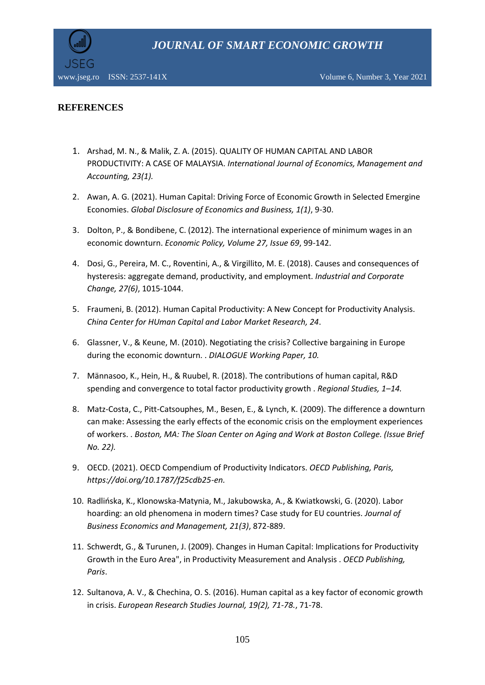*JOURNAL OF SMART ECONOMIC GROWTH*



www.jseg.ro ISSN: 2537-141X Volume 6, Number 3, Year 2021

## **REFERENCES**

- 1. Arshad, M. N., & Malik, Z. A. (2015). QUALITY OF HUMAN CAPITAL AND LABOR PRODUCTIVITY: A CASE OF MALAYSIA. *International Journal of Economics, Management and Accounting, 23(1).*
- 2. Awan, A. G. (2021). Human Capital: Driving Force of Economic Growth in Selected Emergine Economies. *Global Disclosure of Economics and Business, 1(1)*, 9-30.
- 3. Dolton, P., & Bondibene, C. (2012). The international experience of minimum wages in an economic downturn. *Economic Policy, Volume 27, Issue 69*, 99-142.
- 4. Dosi, G., Pereira, M. C., Roventini, A., & Virgillito, M. E. (2018). Causes and consequences of hysteresis: aggregate demand, productivity, and employment. *Industrial and Corporate Change, 27(6)*, 1015-1044.
- 5. Fraumeni, B. (2012). Human Capital Productivity: A New Concept for Productivity Analysis. *China Center for HUman Capital and Labor Market Research, 24*.
- 6. Glassner, V., & Keune, M. (2010). Negotiating the crisis? Collective bargaining in Europe during the economic downturn. . *DIALOGUE Working Paper, 10.*
- 7. Männasoo, K., Hein, H., & Ruubel, R. (2018). The contributions of human capital, R&D spending and convergence to total factor productivity growth . *Regional Studies, 1–14.*
- 8. Matz-Costa, C., Pitt-Catsouphes, M., Besen, E., & Lynch, K. (2009). The difference a downturn can make: Assessing the early effects of the economic crisis on the employment experiences of workers. . *Boston, MA: The Sloan Center on Aging and Work at Boston College. (Issue Brief No. 22).*
- 9. OECD. (2021). OECD Compendium of Productivity Indicators. *OECD Publishing, Paris, https://doi.org/10.1787/f25cdb25-en.*
- 10. Radlińska, K., Klonowska-Matynia, M., Jakubowska, A., & Kwiatkowski, G. (2020). Labor hoarding: an old phenomena in modern times? Case study for EU countries. *Journal of Business Economics and Management, 21(3)*, 872-889.
- 11. Schwerdt, G., & Turunen, J. (2009). Changes in Human Capital: Implications for Productivity Growth in the Euro Area", in Productivity Measurement and Analysis . *OECD Publishing, Paris*.
- 12. Sultanova, A. V., & Chechina, O. S. (2016). Human capital as a key factor of economic growth in crisis. *European Research Studies Journal, 19(2), 71-78.*, 71-78.